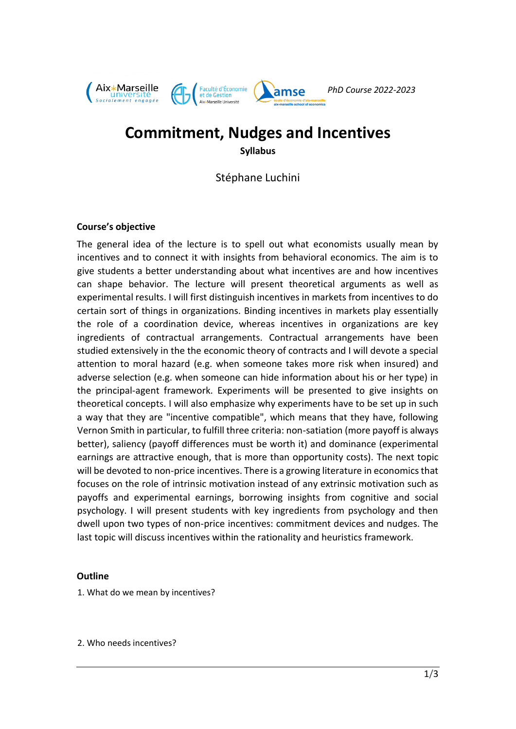

# **Commitment, Nudges and Incentives Syllabus**

Stéphane Luchini

# **Course's objective**

The general idea of the lecture is to spell out what economists usually mean by incentives and to connect it with insights from behavioral economics. The aim is to give students a better understanding about what incentives are and how incentives can shape behavior. The lecture will present theoretical arguments as well as experimental results. I will first distinguish incentives in markets from incentives to do certain sort of things in organizations. Binding incentives in markets play essentially the role of a coordination device, whereas incentives in organizations are key ingredients of contractual arrangements. Contractual arrangements have been studied extensively in the the economic theory of contracts and I will devote a special attention to moral hazard (e.g. when someone takes more risk when insured) and adverse selection (e.g. when someone can hide information about his or her type) in the principal-agent framework. Experiments will be presented to give insights on theoretical concepts. I will also emphasize why experiments have to be set up in such a way that they are "incentive compatible", which means that they have, following Vernon Smith in particular, to fulfill three criteria: non-satiation (more payoff is always better), saliency (payoff differences must be worth it) and dominance (experimental earnings are attractive enough, that is more than opportunity costs). The next topic will be devoted to non-price incentives. There is a growing literature in economics that focuses on the role of intrinsic motivation instead of any extrinsic motivation such as payoffs and experimental earnings, borrowing insights from cognitive and social psychology. I will present students with key ingredients from psychology and then dwell upon two types of non-price incentives: commitment devices and nudges. The last topic will discuss incentives within the rationality and heuristics framework.

# **Outline**

1. What do we mean by incentives?

2. Who needs incentives?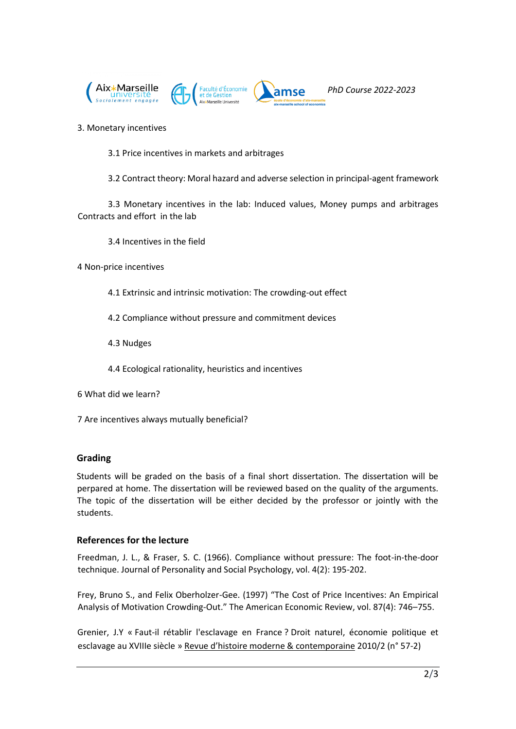

#### 3. Monetary incentives

3.1 Price incentives in markets and arbitrages

3.2 Contract theory: Moral hazard and adverse selection in principal-agent framework

3.3 Monetary incentives in the lab: Induced values, Money pumps and arbitrages Contracts and effort in the lab

3.4 Incentives in the field

4 Non-price incentives

- 4.1 Extrinsic and intrinsic motivation: The crowding-out effect
- 4.2 Compliance without pressure and commitment devices
- 4.3 Nudges
- 4.4 Ecological rationality, heuristics and incentives
- 6 What did we learn?

7 Are incentives always mutually beneficial?

# **Grading**

Students will be graded on the basis of a final short dissertation. The dissertation will be perpared at home. The dissertation will be reviewed based on the quality of the arguments. The topic of the dissertation will be either decided by the professor or jointly with the students.

# **References for the lecture**

Freedman, J. L., & Fraser, S. C. (1966). Compliance without pressure: The foot-in-the-door technique. Journal of Personality and Social Psychology, vol. 4(2): 195-202.

Frey, Bruno S., and Felix Oberholzer-Gee. (1997) "The Cost of Price Incentives: An Empirical Analysis of Motivation Crowding-Out." The American Economic Review, vol. 87(4): 746–755.

Grenier, J.Y « Faut-il rétablir l'esclavage en France ? Droit naturel, économie politique et esclavage au XVIIIe siècle » [Revue d'histoire moderne & contemporaine](https://www.cairn.info/revue-d-histoire-moderne-et-contemporaine.htm) [2010/2 \(n°](https://www.cairn.info/revue-d-histoire-moderne-et-contemporaine-2010-2.htm) 57-2)